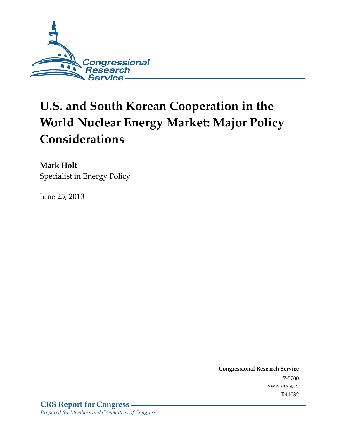

# **U.S. and South Korean Cooperation in the World Nuclear Energy Market: Major Policy Considerations**

**Mark Holt**  Specialist in Energy Policy

June 25, 2013

**Congressional Research Service**  7-5700 www.crs.gov R41032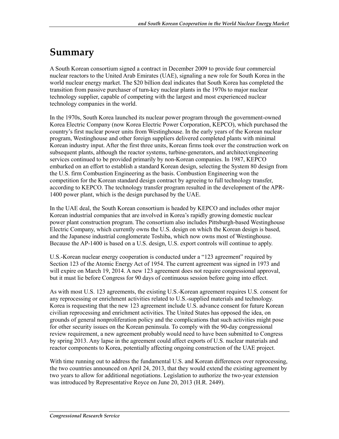## **Summary**

A South Korean consortium signed a contract in December 2009 to provide four commercial nuclear reactors to the United Arab Emirates (UAE), signaling a new role for South Korea in the world nuclear energy market. The \$20 billion deal indicates that South Korea has completed the transition from passive purchaser of turn-key nuclear plants in the 1970s to major nuclear technology supplier, capable of competing with the largest and most experienced nuclear technology companies in the world.

In the 1970s, South Korea launched its nuclear power program through the government-owned Korea Electric Company (now Korea Electric Power Corporation, KEPCO), which purchased the country's first nuclear power units from Westinghouse. In the early years of the Korean nuclear program, Westinghouse and other foreign suppliers delivered completed plants with minimal Korean industry input. After the first three units, Korean firms took over the construction work on subsequent plants, although the reactor systems, turbine-generators, and architect/engineering services continued to be provided primarily by non-Korean companies. In 1987, KEPCO embarked on an effort to establish a standard Korean design, selecting the System 80 design from the U.S. firm Combustion Engineering as the basis. Combustion Engineering won the competition for the Korean standard design contract by agreeing to full technology transfer, according to KEPCO. The technology transfer program resulted in the development of the APR-1400 power plant, which is the design purchased by the UAE.

In the UAE deal, the South Korean consortium is headed by KEPCO and includes other major Korean industrial companies that are involved in Korea's rapidly growing domestic nuclear power plant construction program. The consortium also includes Pittsburgh-based Westinghouse Electric Company, which currently owns the U.S. design on which the Korean design is based, and the Japanese industrial conglomerate Toshiba, which now owns most of Westinghouse. Because the AP-1400 is based on a U.S. design, U.S. export controls will continue to apply.

U.S.-Korean nuclear energy cooperation is conducted under a "123 agreement" required by Section 123 of the Atomic Energy Act of 1954. The current agreement was signed in 1973 and will expire on March 19, 2014. A new 123 agreement does not require congressional approval, but it must lie before Congress for 90 days of continuous session before going into effect.

As with most U.S. 123 agreements, the existing U.S.-Korean agreement requires U.S. consent for any reprocessing or enrichment activities related to U.S.-supplied materials and technology. Korea is requesting that the new 123 agreement include U.S. advance consent for future Korean civilian reprocessing and enrichment activities. The United States has opposed the idea, on grounds of general nonproliferation policy and the complications that such activities might pose for other security issues on the Korean peninsula. To comply with the 90-day congressional review requirement, a new agreement probably would need to have been submitted to Congress by spring 2013. Any lapse in the agreement could affect exports of U.S. nuclear materials and reactor components to Korea, potentially affecting ongoing construction of the UAE project.

With time running out to address the fundamental U.S. and Korean differences over reprocessing, the two countries announced on April 24, 2013, that they would extend the existing agreement by two years to allow for additional negotiations. Legislation to authorize the two-year extension was introduced by Representative Royce on June 20, 2013 (H.R. 2449).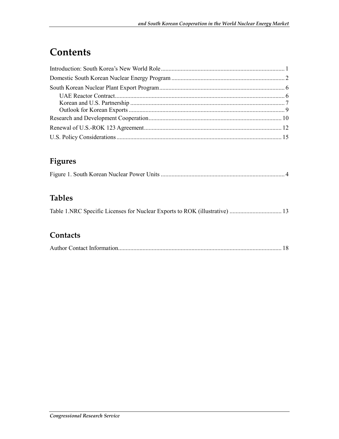## **Contents**

#### **Figures**

|--|

#### **Tables**

#### **Contacts**

|--|--|--|--|--|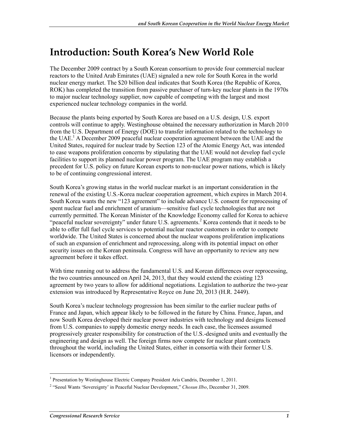## **Introduction: South Korea's New World Role**

The December 2009 contract by a South Korean consortium to provide four commercial nuclear reactors to the United Arab Emirates (UAE) signaled a new role for South Korea in the world nuclear energy market. The \$20 billion deal indicates that South Korea (the Republic of Korea, ROK) has completed the transition from passive purchaser of turn-key nuclear plants in the 1970s to major nuclear technology supplier, now capable of competing with the largest and most experienced nuclear technology companies in the world.

Because the plants being exported by South Korea are based on a U.S. design, U.S. export controls will continue to apply. Westinghouse obtained the necessary authorization in March 2010 from the U.S. Department of Energy (DOE) to transfer information related to the technology to the UAE.<sup>1</sup> A December 2009 peaceful nuclear cooperation agreement between the UAE and the United States, required for nuclear trade by Section 123 of the Atomic Energy Act, was intended to ease weapons proliferation concerns by stipulating that the UAE would not develop fuel cycle facilities to support its planned nuclear power program. The UAE program may establish a precedent for U.S. policy on future Korean exports to non-nuclear power nations, which is likely to be of continuing congressional interest.

South Korea's growing status in the world nuclear market is an important consideration in the renewal of the existing U.S.-Korea nuclear cooperation agreement, which expires in March 2014. South Korea wants the new "123 agreement" to include advance U.S. consent for reprocessing of spent nuclear fuel and enrichment of uranium—sensitive fuel cycle technologies that are not currently permitted. The Korean Minister of the Knowledge Economy called for Korea to achieve "peaceful nuclear sovereignty" under future U.S. agreements.<sup>2</sup> Korea contends that it needs to be able to offer full fuel cycle services to potential nuclear reactor customers in order to compete worldwide. The United States is concerned about the nuclear weapons proliferation implications of such an expansion of enrichment and reprocessing, along with its potential impact on other security issues on the Korean peninsula. Congress will have an opportunity to review any new agreement before it takes effect.

With time running out to address the fundamental U.S. and Korean differences over reprocessing, the two countries announced on April 24, 2013, that they would extend the existing 123 agreement by two years to allow for additional negotiations. Legislation to authorize the two-year extension was introduced by Representative Royce on June 20, 2013 (H.R. 2449).

South Korea's nuclear technology progression has been similar to the earlier nuclear paths of France and Japan, which appear likely to be followed in the future by China. France, Japan, and now South Korea developed their nuclear power industries with technology and designs licensed from U.S. companies to supply domestic energy needs. In each case, the licensees assumed progressively greater responsibility for construction of the U.S.-designed units and eventually the engineering and design as well. The foreign firms now compete for nuclear plant contracts throughout the world, including the United States, either in consortia with their former U.S. licensors or independently.

<sup>1&</sup>lt;br><sup>1</sup> Presentation by Westinghouse Electric Company President Aris Candris, December 1, 2011.

<sup>&</sup>lt;sup>2</sup> "Seoul Wants 'Sovereignty' in Peaceful Nuclear Development," *Chosun Ilbo*, December 31, 2009.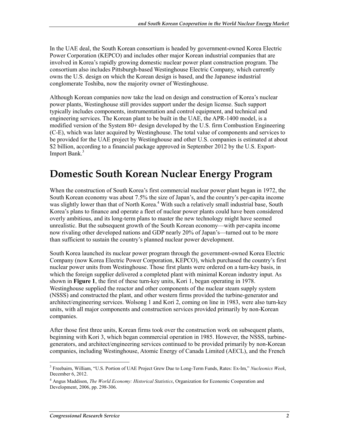In the UAE deal, the South Korean consortium is headed by government-owned Korea Electric Power Corporation (KEPCO) and includes other major Korean industrial companies that are involved in Korea's rapidly growing domestic nuclear power plant construction program. The consortium also includes Pittsburgh-based Westinghouse Electric Company, which currently owns the U.S. design on which the Korean design is based, and the Japanese industrial conglomerate Toshiba, now the majority owner of Westinghouse.

Although Korean companies now take the lead on design and construction of Korea's nuclear power plants, Westinghouse still provides support under the design license. Such support typically includes components, instrumentation and control equipment, and technical and engineering services. The Korean plant to be built in the UAE, the APR-1400 model, is a modified version of the System 80+ design developed by the U.S. firm Combustion Engineering (C-E), which was later acquired by Westinghouse. The total value of components and services to be provided for the UAE project by Westinghouse and other U.S. companies is estimated at about \$2 billion, according to a financial package approved in September 2012 by the U.S. Export-Import Bank.<sup>3</sup>

## **Domestic South Korean Nuclear Energy Program**

When the construction of South Korea's first commercial nuclear power plant began in 1972, the South Korean economy was about 7.5% the size of Japan's, and the country's per-capita income was slightly lower than that of North Korea.<sup>4</sup> With such a relatively small industrial base, South Korea's plans to finance and operate a fleet of nuclear power plants could have been considered overly ambitious, and its long-term plans to master the new technology might have seemed unrealistic. But the subsequent growth of the South Korean economy—with per-capita income now rivaling other developed nations and GDP nearly 20% of Japan's—turned out to be more than sufficient to sustain the country's planned nuclear power development.

South Korea launched its nuclear power program through the government-owned Korea Electric Company (now Korea Electric Power Corporation, KEPCO), which purchased the country's first nuclear power units from Westinghouse. Those first plants were ordered on a turn-key basis, in which the foreign supplier delivered a completed plant with minimal Korean industry input. As shown in **Figure 1**, the first of these turn-key units, Kori 1, began operating in 1978. Westinghouse supplied the reactor and other components of the nuclear steam supply system (NSSS) and constructed the plant, and other western firms provided the turbine-generator and architect/engineering services. Wolsong 1 and Kori 2, coming on line in 1983, were also turn-key units, with all major components and construction services provided primarily by non-Korean companies.

After those first three units, Korean firms took over the construction work on subsequent plants, beginning with Kori 3, which began commercial operation in 1985. However, the NSSS, turbinegenerators, and architect/engineering services continued to be provided primarily by non-Korean companies, including Westinghouse, Atomic Energy of Canada Limited (AECL), and the French

<sup>1</sup> 3 Freebairn, William, "U.S. Portion of UAE Project Grew Due to Long-Term Funds, Rates: Ex-Im," *Nucleonics Week*, December 6, 2012.

<sup>4</sup> Angus Maddison, *The World Economy: Historical Statistics*, Organization for Economic Cooperation and Development, 2006, pp. 298-306.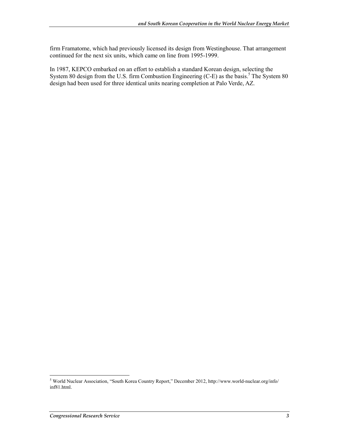firm Framatome, which had previously licensed its design from Westinghouse. That arrangement continued for the next six units, which came on line from 1995-1999.

In 1987, KEPCO embarked on an effort to establish a standard Korean design, selecting the System 80 design from the U.S. firm Combustion Engineering  $(C-E)$  as the basis.<sup>5</sup> The System 80 design had been used for three identical units nearing completion at Palo Verde, AZ.

 5 World Nuclear Association, "South Korea Country Report," December 2012, http://www.world-nuclear.org/info/ inf81.html.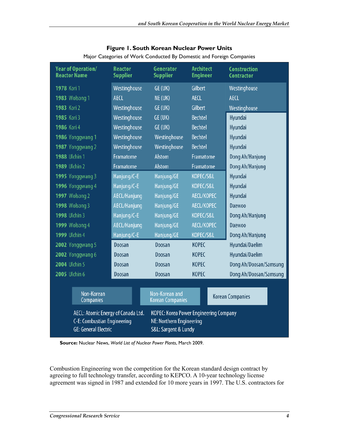| <b>Year of Operation/</b><br><b>Reactor Name</b>                                                                                                                                                      | <b>Reactor</b><br><b>Supplier</b> | Generator<br><b>Supplier</b>              | <b>Architect</b><br><b>Engineer</b> | <b>Construction</b><br><b>Contractor</b> |
|-------------------------------------------------------------------------------------------------------------------------------------------------------------------------------------------------------|-----------------------------------|-------------------------------------------|-------------------------------------|------------------------------------------|
| 1978 Kori 1                                                                                                                                                                                           | Westinghouse                      | GE (UK)                                   | Gilbert                             | Westinghouse                             |
| <b>1983</b> Wolsong 1                                                                                                                                                                                 | <b>AECL</b>                       | NE (UK)                                   | <b>AECL</b>                         | <b>AECL</b>                              |
| 1983 Kori 2                                                                                                                                                                                           | Westinghouse                      | GE (UK)                                   | Gilbert                             | Westinghouse                             |
| 1985 Kori 3                                                                                                                                                                                           | Westinghouse                      | GE (UK)                                   | <b>Bechtel</b>                      | Hyundai                                  |
| 1986 Kori 4                                                                                                                                                                                           | Westinghouse                      | GE (UK)                                   | <b>Bechtel</b>                      | Hyundai                                  |
| 1986 Yonggwang 1                                                                                                                                                                                      | Westinghouse                      | Westinghouse                              | <b>Bechtel</b>                      | Hyundai                                  |
| 1987 Yonggwang 2                                                                                                                                                                                      | Westinghouse                      | Westinghouse                              | <b>Bechtel</b>                      | Hyundai                                  |
| <b>1988 Ulchin 1</b>                                                                                                                                                                                  | <b>Framatome</b>                  | Alstom                                    | Framatome                           | Dong Ah/Hanjung                          |
| <b>1989</b> Ulchin 2                                                                                                                                                                                  | Framatome                         | Alstom                                    | Framatome                           | Dong Ah/Hanjung                          |
| 1995 Yonggwang 3                                                                                                                                                                                      | Hanjung/C-E                       | Hanjung/GE                                | KOPEC/S&L                           | Hyundai                                  |
| 1996 Yonggwang 4                                                                                                                                                                                      | Hanjung/C-E                       | Hanjung/GE                                | KOPEC/S&L                           | Hyundai                                  |
| <b>1997</b> Wolsong 2                                                                                                                                                                                 | <b>AECL/Hanjung</b>               | Hanjung/GE                                | <b>AECL/KOPEC</b>                   | Hyundai                                  |
| <b>1998</b> Wolsong 3                                                                                                                                                                                 | AECL/Hanjung                      | Hanjung/GE                                | <b>AECL/KOPEC</b>                   | <b>Daewoo</b>                            |
| <b>1998</b> Ulchin 3                                                                                                                                                                                  | Hanjung/C-E                       | Hanjung/GE                                | KOPEC/S&L                           | Dong Ah/Hanjung                          |
| <b>1999</b> Wolsong 4                                                                                                                                                                                 | AECL/Hanjung                      | Hanjung/GE                                | <b>AECL/KOPEC</b>                   | Daewoo                                   |
| <b>1999</b> Ulchin 4                                                                                                                                                                                  | Hanjung/C-E                       | Hanjung/GE                                | KOPEC/S&L                           | Dong Ah/Hanjung                          |
| 2002 Yonggwang 5                                                                                                                                                                                      | Doosan                            | Doosan                                    | <b>KOPEC</b>                        | Hyundai/Daelim                           |
| 2002 Yonggwang 6                                                                                                                                                                                      | Doosan                            | Doosan                                    | <b>KOPEC</b>                        | Hyundai/Daelim                           |
| 2004 Ulchin 5                                                                                                                                                                                         | Doosan                            | Doosan                                    | <b>KOPEC</b>                        | Dong Ah/Doosan/Samsung                   |
| 2005 Ulchin 6                                                                                                                                                                                         | Doosan                            | Doosan                                    | <b>KOPEC</b>                        | Dong Ah/Doosan/Samsung                   |
|                                                                                                                                                                                                       |                                   |                                           |                                     |                                          |
| Non-Korean<br>Companies                                                                                                                                                                               |                                   | Non-Korean and<br><b>Korean Companies</b> | <b>Korean Companies</b>             |                                          |
| AECL: Atomic Energy of Canada Ltd.<br><b>KOPEC: Korea Power Engineering Company</b><br>C-E: Combustian Engineering<br>NE: Northern Engineering<br><b>GE: General Electric</b><br>S&L: Sargent & Lundy |                                   |                                           |                                     |                                          |

#### **Figure 1. South Korean Nuclear Power Units**  Major Categories of Work Conducted By Domestic and Foreign Companies

**Source:** Nuclear News, *World List of Nuclear Power Plants*, March 2009.

Combustion Engineering won the competition for the Korean standard design contract by agreeing to full technology transfer, according to KEPCO. A 10-year technology license agreement was signed in 1987 and extended for 10 more years in 1997. The U.S. contractors for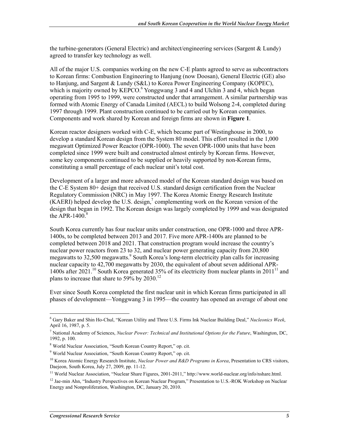the turbine-generators (General Electric) and architect/engineering services (Sargent & Lundy) agreed to transfer key technology as well.

All of the major U.S. companies working on the new C-E plants agreed to serve as subcontractors to Korean firms: Combustion Engineering to Hanjung (now Doosan), General Electric (GE) also to Hanjung, and Sargent & Lundy (S&L) to Korea Power Engineering Company (KOPEC), which is majority owned by KEPCO.<sup>6</sup> Yonggwang 3 and 4 and Ulchin 3 and 4, which began operating from 1995 to 1999, were constructed under that arrangement. A similar partnership was formed with Atomic Energy of Canada Limited (AECL) to build Wolsong 2-4, completed during 1997 through 1999. Plant construction continued to be carried out by Korean companies. Components and work shared by Korean and foreign firms are shown in **Figure 1**.

Korean reactor designers worked with C-E, which became part of Westinghouse in 2000, to develop a standard Korean design from the System 80 model. This effort resulted in the 1,000 megawatt Optimized Power Reactor (OPR-1000). The seven OPR-1000 units that have been completed since 1999 were built and constructed almost entirely by Korean firms. However, some key components continued to be supplied or heavily supported by non-Korean firms, constituting a small percentage of each nuclear unit's total cost.

Development of a larger and more advanced model of the Korean standard design was based on the C-E System 80+ design that received U.S. standard design certification from the Nuclear Regulatory Commission (NRC) in May 1997. The Korea Atomic Energy Research Institute  $(KAERI)$  helped develop the U.S. design,<sup>7</sup> complementing work on the Korean version of the design that began in 1992. The Korean design was largely completed by 1999 and was designated the APR-1400. $8$ 

South Korea currently has four nuclear units under construction, one OPR-1000 and three APR-1400s, to be completed between 2013 and 2017. Five more APR-1400s are planned to be completed between 2018 and 2021. That construction program would increase the country's nuclear power reactors from 23 to 32, and nuclear power generating capacity from 20,800 megawatts to 32,500 megawatts.<sup>9</sup> South Korea's long-term electricity plan calls for increasing nuclear capacity to 42,700 megawatts by 2030, the equivalent of about seven additional APR-1400s after 2021.<sup>10</sup> South Korea generated 35% of its electricity from nuclear plants in 2011<sup>11</sup> and plans to increase that share to 59% by 2030.<sup>12</sup>

Ever since South Korea completed the first nuclear unit in which Korean firms participated in all phases of development—Yonggwang 3 in 1995—the country has opened an average of about one

<sup>&</sup>lt;u>.</u> 6 Gary Baker and Shin Ho-Chul, "Korean Utility and Three U.S. Firms Ink Nuclear Building Deal," *Nucleonics Week*, April 16, 1987, p. 5.

<sup>7</sup> National Academy of Sciences, *Nuclear Power: Technical and Institutional Options for the Future*, Washington, DC, 1992, p. 100.

<sup>8</sup> World Nuclear Association, "South Korean Country Report," op. cit.

<sup>&</sup>lt;sup>9</sup> World Nuclear Association, "South Korean Country Report," op. cit.

<sup>10</sup> Korea Atomic Energy Research Institute, *Nuclear Power and R&D Programs in Korea*, Presentation to CRS visitors, Daejeon, South Korea, July 27, 2009, pp. 11-12.

<sup>&</sup>lt;sup>11</sup> World Nuclear Association, "Nuclear Share Figures, 2001-2011," http://www.world-nuclear.org/info/nshare.html.

<sup>&</sup>lt;sup>12</sup> Jae-min Ahn, "Industry Perspectives on Korean Nuclear Program," Presentation to U.S.-ROK Workshop on Nuclear Energy and Nonproliferation, Washington, DC, January 20, 2010.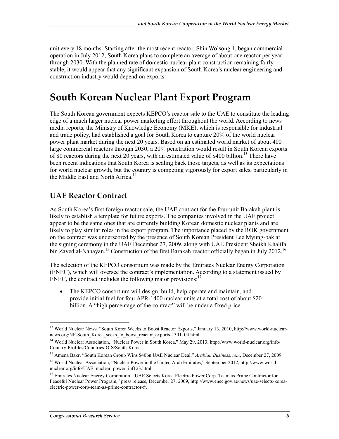unit every 18 months. Starting after the most recent reactor, Shin Wolsong 1, began commercial operation in July 2012, South Korea plans to complete an average of about one reactor per year through 2030. With the planned rate of domestic nuclear plant construction remaining fairly stable, it would appear that any significant expansion of South Korea's nuclear engineering and construction industry would depend on exports.

## **South Korean Nuclear Plant Export Program**

The South Korean government expects KEPCO's reactor sale to the UAE to constitute the leading edge of a much larger nuclear power marketing effort throughout the world. According to news media reports, the Ministry of Knowledge Economy (MKE), which is responsible for industrial and trade policy, had established a goal for South Korea to capture 20% of the world nuclear power plant market during the next 20 years. Based on an estimated world market of about 400 large commercial reactors through 2030, a 20% penetration would result in South Korean exports of 80 reactors during the next 20 years, with an estimated value of \$400 billion.<sup>13</sup> There have been recent indications that South Korea is scaling back those targets, as well as its expectations for world nuclear growth, but the country is competing vigorously for export sales, particularly in the Middle East and North Africa.<sup>14</sup>

#### **UAE Reactor Contract**

As South Korea's first foreign reactor sale, the UAE contract for the four-unit Barakah plant is likely to establish a template for future exports. The companies involved in the UAE project appear to be the same ones that are currently building Korean domestic nuclear plants and are likely to play similar roles in the export program. The importance placed by the ROK government on the contract was underscored by the presence of South Korean President Lee Myung-bak at the signing ceremony in the UAE December 27, 2009, along with UAE President Sheikh Khalifa bin Zayed al-Nahayan.<sup>15</sup> Construction of the first Barakah reactor officially began in July 2012.<sup>16</sup>

The selection of the KEPCO consortium was made by the Emirates Nuclear Energy Corporation (ENEC), which will oversee the contract's implementation. According to a statement issued by ENEC, the contract includes the following major provisions: $17$ 

• The KEPCO consortium will design, build, help operate and maintain, and provide initial fuel for four APR-1400 nuclear units at a total cost of about \$20 billion. A "high percentage of the contract" will be under a fixed price.

<sup>1</sup> 13 World Nuclear News. "South Korea Weeks to Boost Reactor Exports," January 13, 2010, http://www.world-nuclearnews.org/NP-South\_Korea\_seeks\_to\_boost\_reactor\_exports-1301104.html.

<sup>14</sup> World Nuclear Association, "Nuclear Power in South Korea," May 29, 2013, http://www.world-nuclear.org/info/ Country-Profiles/Countries-O-S/South-Korea.

<sup>15</sup> Amena Bakr, "South Korean Group Wins \$40bn UAE Nuclear Deal," *Arabian Business.com*, December 27, 2009.

<sup>16</sup> World Nuclear Association, "Nuclear Power in the United Arab Emirates," September 2012, http://www.worldnuclear.org/info/UAE\_nuclear\_power\_inf123.html.

<sup>&</sup>lt;sup>17</sup> Emirates Nuclear Energy Corporation, "UAE Selects Korea Electric Power Corp. Team as Prime Contractor for Peaceful Nuclear Power Program," press release, December 27, 2009, http://www.enec.gov.ae/news/uae-selects-koreaelectric-power-corp-team-as-prime-contractor-f/.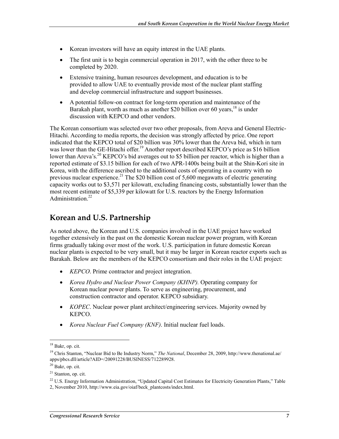- Korean investors will have an equity interest in the UAE plants.
- The first unit is to begin commercial operation in 2017, with the other three to be completed by 2020.
- Extensive training, human resources development, and education is to be provided to allow UAE to eventually provide most of the nuclear plant staffing and develop commercial infrastructure and support businesses.
- A potential follow-on contract for long-term operation and maintenance of the Barakah plant, worth as much as another \$20 billion over 60 years, $18$  is under discussion with KEPCO and other vendors.

The Korean consortium was selected over two other proposals, from Areva and General Electric-Hitachi. According to media reports, the decision was strongly affected by price. One report indicated that the KEPCO total of \$20 billion was 30% lower than the Areva bid, which in turn was lower than the GE-Hitachi offer.<sup>19</sup> Another report described KEPCO's price as \$16 billion lower than Areva's.<sup>20</sup> KEPCO's bid averages out to \$5 billion per reactor, which is higher than a reported estimate of \$3.15 billion for each of two APR-1400s being built at the Shin-Kori site in Korea, with the difference ascribed to the additional costs of operating in a country with no previous nuclear experience.<sup>21</sup> The \$20 billion cost of 5,600 megawatts of electric generating capacity works out to \$3,571 per kilowatt, excluding financing costs, substantially lower than the most recent estimate of \$5,339 per kilowatt for U.S. reactors by the Energy Information Administration.<sup>22</sup>

#### **Korean and U.S. Partnership**

As noted above, the Korean and U.S. companies involved in the UAE project have worked together extensively in the past on the domestic Korean nuclear power program, with Korean firms gradually taking over most of the work. U.S. participation in future domestic Korean nuclear plants is expected to be very small, but it may be larger in Korean reactor exports such as Barakah. Below are the members of the KEPCO consortium and their roles in the UAE project:

- *KEPCO*. Prime contractor and project integration.
- *Korea Hydro and Nuclear Power Company (KHNP).* Operating company for Korean nuclear power plants. To serve as engineering, procurement, and construction contractor and operator. KEPCO subsidiary.
- *KOPEC*. Nuclear power plant architect/engineering services. Majority owned by KEPCO.
- *Korea Nuclear Fuel Company (KNF)*. Initial nuclear fuel loads.

1

 $18$  Bakr, op. cit.

<sup>19</sup> Chris Stanton, "Nuclear Bid to Be Industry Norm," *The National*, December 28, 2009, http://www.thenational.ae/ apps/pbcs.dll/article?AID=/20091228/BUSINESS/712289928.

<sup>20</sup> Bakr, op. cit.

<sup>21</sup> Stanton, op. cit.

<sup>&</sup>lt;sup>22</sup> U.S. Energy Information Administration, "Updated Capital Cost Estimates for Electricity Generation Plants," Table

<sup>2,</sup> November 2010, http://www.eia.gov/oiaf/beck\_plantcosts/index.html.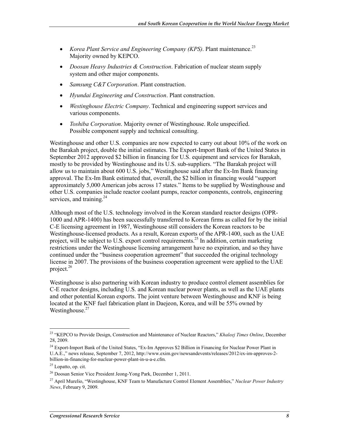- *Korea Plant Service and Engineering Company (KPS)*. Plant maintenance.<sup>23</sup> Majority owned by KEPCO.
- *Doosan Heavy Industries & Construction*. Fabrication of nuclear steam supply system and other major components.
- *Samsung C&T Corporation*. Plant construction.
- *Hyundai Engineering and Construction*. Plant construction.
- *Westinghouse Electric Company*. Technical and engineering support services and various components.
- *Toshiba Corporation*. Majority owner of Westinghouse. Role unspecified. Possible component supply and technical consulting.

Westinghouse and other U.S. companies are now expected to carry out about 10% of the work on the Barakah project, double the initial estimates. The Export-Import Bank of the United States in September 2012 approved \$2 billion in financing for U.S. equipment and services for Barakah, mostly to be provided by Westinghouse and its U.S. sub-suppliers. "The Barakah project will allow us to maintain about 600 U.S. jobs," Westinghouse said after the Ex-Im Bank financing approval. The Ex-Im Bank estimated that, overall, the \$2 billion in financing would "support approximately 5,000 American jobs across 17 states." Items to be supplied by Westinghouse and other U.S. companies include reactor coolant pumps, reactor components, controls, engineering services, and training.<sup>24</sup>

Although most of the U.S. technology involved in the Korean standard reactor designs (OPR-1000 and APR-1400) has been successfully transferred to Korean firms as called for by the initial C-E licensing agreement in 1987, Westinghouse still considers the Korean reactors to be Westinghouse-licensed products. As a result, Korean exports of the APR-1400, such as the UAE project, will be subject to U.S. export control requirements.<sup>25</sup> In addition, certain marketing restrictions under the Westinghouse licensing arrangement have no expiration, and so they have continued under the "business cooperation agreement" that succeeded the original technology license in 2007. The provisions of the business cooperation agreement were applied to the UAE project. $26$ 

Westinghouse is also partnering with Korean industry to produce control element assemblies for C-E reactor designs, including U.S. and Korean nuclear power plants, as well as the UAE plants and other potential Korean exports. The joint venture between Westinghouse and KNF is being located at the KNF fuel fabrication plant in Daejeon, Korea, and will be 55% owned by Westinghouse.<sup>27</sup>

<sup>1</sup> 23 "KEPCO to Provide Design, Construction and Maintenance of Nuclear Reactors," *Khaleej Times Online*, December 28, 2009.

<sup>&</sup>lt;sup>24</sup> Export-Import Bank of the United States, "Ex-Im Approves \$2 Billion in Financing for Nuclear Power Plant in U.A.E.," news release, September 7, 2012, http://www.exim.gov/newsandevents/releases/2012/ex-im-approves-2 billion-in-financing-for-nuclear-power-plant-in-u-a-e.cfm.

 $25$  Lopatto, op. cit.

<sup>26</sup> Doosan Senior Vice President Jeong-Yong Park, December 1, 2011.

<sup>27</sup> April Murelio, "Westinghouse, KNF Team to Manufacture Control Element Assemblies," *Nuclear Power Industry News*, February 9, 2009.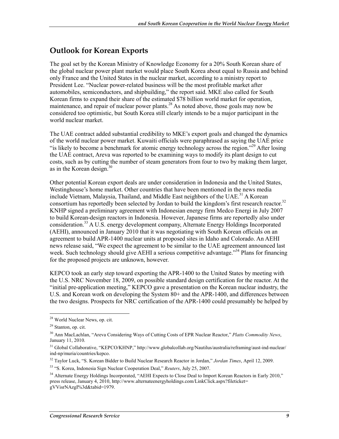#### **Outlook for Korean Exports**

The goal set by the Korean Ministry of Knowledge Economy for a 20% South Korean share of the global nuclear power plant market would place South Korea about equal to Russia and behind only France and the United States in the nuclear market, according to a ministry report to President Lee. "Nuclear power-related business will be the most profitable market after automobiles, semiconductors, and shipbuilding," the report said. MKE also called for South Korean firms to expand their share of the estimated \$78 billion world market for operation, maintenance, and repair of nuclear power plants.<sup>28</sup> As noted above, those goals may now be considered too optimistic, but South Korea still clearly intends to be a major participant in the world nuclear market.

The UAE contract added substantial credibility to MKE's export goals and changed the dynamics of the world nuclear power market. Kuwaiti officials were paraphrased as saying the UAE price "is likely to become a benchmark for atomic energy technology across the region."29 After losing the UAE contract, Areva was reported to be examining ways to modify its plant design to cut costs, such as by cutting the number of steam generators from four to two by making them larger, as in the Korean design. $30$ 

Other potential Korean export deals are under consideration in Indonesia and the United States, Westinghouse's home market. Other countries that have been mentioned in the news media include Vietnam, Malaysia, Thailand, and Middle East neighbors of the UAE.<sup>31</sup> A Korean consortium has reportedly been selected by Jordan to build the kingdom's first research reactor.<sup>32</sup> KNHP signed a preliminary agreement with Indonesian energy firm Medco Energi in July 2007 to build Korean-design reactors in Indonesia. However, Japanese firms are reportedly also under consideration.<sup>33</sup> A U.S. energy development company, Alternate Energy Holdings Incorporated (AEHI), announced in January 2010 that it was negotiating with South Korean officials on an agreement to build APR-1400 nuclear units at proposed sites in Idaho and Colorado. An AEHI news release said, "We expect the agreement to be similar to the UAE agreement announced last week. Such technology should give AEHI a serious competitive advantage."<sup>34</sup> Plans for financing for the proposed projects are unknown, however.

KEPCO took an early step toward exporting the APR-1400 to the United States by meeting with the U.S. NRC November 18, 2009, on possible standard design certification for the reactor. At the "initial pre-application meeting," KEPCO gave a presentation on the Korean nuclear industry, the U.S. and Korean work on developing the System 80+ and the APR-1400, and differences between the two designs. Prospects for NRC certification of the APR-1400 could presumably be helped by

<u>.</u>

<sup>28</sup> World Nuclear News, op. cit.

<sup>29</sup> Stanton, op. cit.

<sup>30</sup> Ann MacLachlan, "Areva Considering Ways of Cutting Costs of EPR Nuclear Reactor," *Platts Commodity News*, January 11, 2010.

<sup>&</sup>lt;sup>31</sup> Global Collaborative, "KEPCO/KHNP," http://www.globalcollab.org/Nautilus/australia/reframing/aust-ind-nuclear/ ind-np/muria/countries/kepco.

<sup>32</sup> Taylor Luck, "S. Korean Bidder to Build Nuclear Research Reactor in Jordan," *Jordan Times*, April 12, 2009.

<sup>33 &</sup>quot;S. Korea, Indonesia Sign Nuclear Cooperation Deal," *Reuters*, July 25, 2007.

<sup>&</sup>lt;sup>34</sup> Alternate Energy Holdings Incorporated, "AEHI Expects to Close Deal to Import Korean Reactors in Early 2010," press release, January 4, 2010, http://www.alternateenergyholdings.com/LinkClick.aspx?fileticket= gVVisrNAzgI%3d&tabid=1979.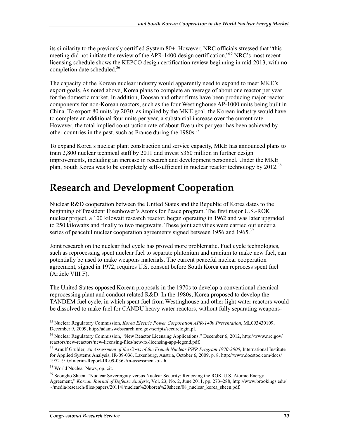its similarity to the previously certified System 80+. However, NRC officials stressed that "this meeting did not initiate the review of the APR-1400 design certification."35 NRC's most recent licensing schedule shows the KEPCO design certification review beginning in mid-2013, with no completion date scheduled.<sup>36</sup>

The capacity of the Korean nuclear industry would apparently need to expand to meet MKE's export goals. As noted above, Korea plans to complete an average of about one reactor per year for the domestic market. In addition, Doosan and other firms have been producing major reactor components for non-Korean reactors, such as the four Westinghouse AP-1000 units being built in China. To export 80 units by 2030, as implied by the MKE goal, the Korean industry would have to complete an additional four units per year, a substantial increase over the current rate. However, the total implied construction rate of about five units per year has been achieved by other countries in the past, such as France during the  $1980s$ .<sup>37</sup>

To expand Korea's nuclear plant construction and service capacity, MKE has announced plans to train 2,800 nuclear technical staff by 2011 and invest \$350 million in further design improvements, including an increase in research and development personnel. Under the MKE plan, South Korea was to be completely self-sufficient in nuclear reactor technology by 2012.<sup>38</sup>

## **Research and Development Cooperation**

Nuclear R&D cooperation between the United States and the Republic of Korea dates to the beginning of President Eisenhower's Atoms for Peace program. The first major U.S.-ROK nuclear project, a 100 kilowatt research reactor, began operating in 1962 and was later upgraded to 250 kilowatts and finally to two megawatts. These joint activities were carried out under a series of peaceful nuclear cooperation agreements signed between 1956 and 1965.<sup>39</sup>

Joint research on the nuclear fuel cycle has proved more problematic. Fuel cycle technologies, such as reprocessing spent nuclear fuel to separate plutonium and uranium to make new fuel, can potentially be used to make weapons materials. The current peaceful nuclear cooperation agreement, signed in 1972, requires U.S. consent before South Korea can reprocess spent fuel (Article VIII F).

The United States opposed Korean proposals in the 1970s to develop a conventional chemical reprocessing plant and conduct related R&D. In the 1980s, Korea proposed to develop the TANDEM fuel cycle, in which spent fuel from Westinghouse and other light water reactors would be dissolved to make fuel for CANDU heavy water reactors, without fully separating weapons-

<sup>&</sup>lt;u>.</u> 35 Nuclear Regulatory Commission, *Korea Electric Power Corporation APR-1400 Presentation*, ML093430109, December 9, 2009, http://adamswebsearch.nrc.gov/scripts/securelogin.pl.

<sup>36</sup> Nuclear Regulatory Commission, "New Reactor Licensing Applications," December 6, 2012, http://www.nrc.gov/ reactors/new-reactors/new-licensing-files/new-rx-licensing-app-legend.pdf.

<sup>37</sup> Arnulf Grubler, *An Assessment of the Costs of the French Nuclear PWR Program 1970-2000*, International Institute for Applied Systems Analysis, IR-09-036, Laxenburg, Austria, October 6, 2009, p. 8, http://www.docstoc.com/docs/ 19721910/Interim-Report-IR-09-036-An-assessment-of-th.

<sup>38</sup> World Nuclear News, op. cit.

<sup>&</sup>lt;sup>39</sup> Seongho Sheen, "Nuclear Sovereignty versus Nuclear Security: Renewing the ROK-U.S. Atomic Energy Agreement," *Korean Journal of Defense Analysis*, Vol. 23, No. 2, June 2011, pp. 273–288, http://www.brookings.edu/ ~/media/research/files/papers/2011/8/nuclear%20korea%20sheen/08\_nuclear\_korea\_sheen.pdf.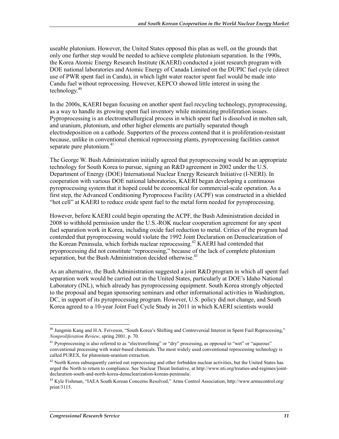useable plutonium. However, the United States opposed this plan as well, on the grounds that only one further step would be needed to achieve complete plutonium separation. In the 1990s, the Korea Atomic Energy Research Institute (KAERI) conducted a joint research program with DOE national laboratories and Atomic Energy of Canada Limited on the DUPIC fuel cycle (direct use of PWR spent fuel in Candu), in which light water reactor spent fuel would be made into Candu fuel without reprocessing. However, KEPCO showed little interest in using the technology. $40$ 

In the 2000s, KAERI began focusing on another spent fuel recycling technology, pyroprocessing, as a way to handle its growing spent fuel inventory while minimizing proliferation issues. Pyproprocessing is an electrometallurgical process in which spent fuel is dissolved in molten salt, and uranium, plutonium, and other higher elements are partially separated though electrodeposition on a cathode. Supporters of the process contend that it is proliferation-resistant because, unlike in conventional chemical reprocessing plants, pyroprocessing facilities cannot separate pure plutonium.<sup>41</sup>

The George W. Bush Administration initially agreed that pyroprocessing would be an appropriate technology for South Korea to pursue, signing an R&D agreement in 2002 under the U.S. Department of Energy (DOE) International Nuclear Energy Research Initiative (I-NERI). In cooperation with various DOE national laboratories, KAERI began developing a continuous pyroprocessing system that it hoped could be economical for commercial-scale operation. As a first step, the Advanced Conditioning Pyroprocess Facility (ACPF) was constructed in a shielded "hot cell" at KAERI to reduce oxide spent fuel to the metal form needed for pyroprocessing.

However, before KAERI could begin operating the ACPF, the Bush Administration decided in 2008 to withhold permission under the U.S.-ROK nuclear cooperation agreement for any spent fuel separation work in Korea, including oxide fuel reduction to metal. Critics of the program had contended that pyroprocessing would violate the 1992 Joint Declaration on Denuclearization of the Korean Peninsula, which forbids nuclear reprocessing.<sup>42</sup> KAERI had contended that pryoprocessing did not constitute "reprocessing," because of the lack of complete plutonium separation, but the Bush Administration decided otherwise.<sup>43</sup>

As an alternative, the Bush Administration suggested a joint R&D program in which all spent fuel separation work would be carried out in the United States, particularly at DOE's Idaho National Laboratory (INL), which already has pyroprocessing equipment. South Korea strongly objected to the proposal and began sponsoring seminars and other informational activities in Washington, DC, in support of its pyroprocessing program. However, U.S. policy did not change, and South Korea agreed to a 10-year Joint Fuel Cycle Study in 2011 in which KAERI scientists would

<sup>1</sup> <sup>40</sup> Jungmin Kang and H.A. Feiveson, "South Korea's Shifting and Controversial Interest in Spent Fuel Reprocessing," *Nonproliferation Review*, spring 2001, p. 70.

<sup>&</sup>lt;sup>41</sup> Pyroprocessing is also referred to as "electrorefining" or "dry" processing, as opposed to "wet" or "aqueous" conventional processing with water-based chemicals. The most widely used conventional reprocessing technology is called PUREX, for plutonium-uranium extraction.

 $42$  North Korea subsequently carried out reprocessing and other forbidden nuclear activities, but the United States has urged the North to return to compliance. See Nuclear Threat Initiative, at http://www.nti.org/treaties-and-regimes/jointdeclaration-south-and-north-korea-denuclearization-korean-peninsula/.

<sup>43</sup> Kyle Fishman, "IAEA South Korean Concerns Resolved," Arms Control Association, http://www.armscontrol.org/ print/3115.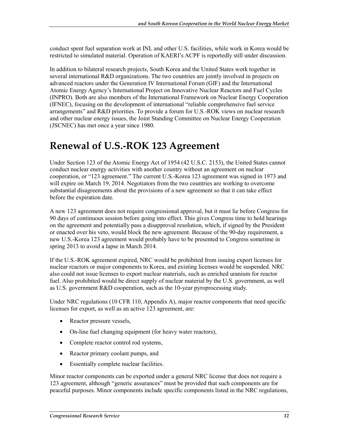conduct spent fuel separation work at INL and other U.S. facilities, while work in Korea would be restricted to simulated material. Operation of KAERI's ACPF is reportedly still under discussion.

In addition to bilateral research projects, South Korea and the United States work together in several international R&D organizations. The two countries are jointly involved in projects on advanced reactors under the Generation IV International Forum (GIF) and the International Atomic Energy Agency's International Project on Innovative Nuclear Reactors and Fuel Cycles (INPRO). Both are also members of the International Framework on Nuclear Energy Cooperation (IFNEC), focusing on the development of international "reliable comprehensive fuel service arrangements" and R&D priorities. To provide a forum for U.S.-ROK views on nuclear research and other nuclear energy issues, the Joint Standing Committee on Nuclear Energy Cooperation (JSCNEC) has met once a year since 1980.

## **Renewal of U.S.-ROK 123 Agreement**

Under Section 123 of the Atomic Energy Act of 1954 (42 U.S.C. 2153), the United States cannot conduct nuclear energy activities with another country without an agreement on nuclear cooperation, or "123 agreement." The current U.S.-Korea 123 agreement was signed in 1973 and will expire on March 19, 2014. Negotiators from the two countries are working to overcome substantial disagreements about the provisions of a new agreement so that it can take effect before the expiration date.

A new 123 agreement does not require congressional approval, but it must lie before Congress for 90 days of continuous session before going into effect. This gives Congress time to hold hearings on the agreement and potentially pass a disapproval resolution, which, if signed by the President or enacted over his veto, would block the new agreement. Because of the 90-day requirement, a new U.S.-Korea 123 agreement would probably have to be presented to Congress sometime in spring 2013 to avoid a lapse in March 2014.

If the U.S.-ROK agreement expired, NRC would be prohibited from issuing export licenses for nuclear reactors or major components to Korea, and existing licenses would be suspended. NRC also could not issue licenses to export nuclear materials, such as enriched uranium for reactor fuel. Also prohibited would be direct supply of nuclear material by the U.S. government, as well as U.S. government R&D cooperation, such as the 10-year pyroprocessing study.

Under NRC regulations (10 CFR 110, Appendix A), major reactor components that need specific licenses for export, as well as an active 123 agreement, are:

- Reactor pressure vessels,
- On-line fuel changing equipment (for heavy water reactors),
- Complete reactor control rod systems,
- Reactor primary coolant pumps, and
- Essentially complete nuclear facilities.

Minor reactor components can be exported under a general NRC license that does not require a 123 agreement, although "generic assurances" must be provided that such components are for peaceful purposes. Minor components include specific components listed in the NRC regulations,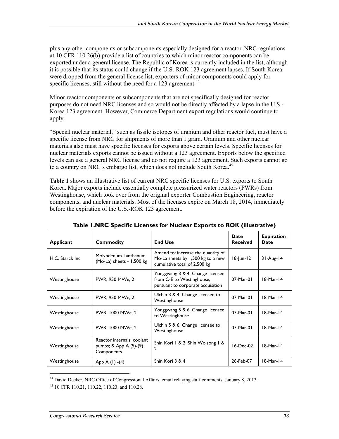plus any other components or subcomponents especially designed for a reactor. NRC regulations at 10 CFR 110.26(b) provide a list of countries to which minor reactor components can be exported under a general license. The Republic of Korea is currently included in the list, although it is possible that its status could change if the U.S.-ROK 123 agreement lapses. If South Korea were dropped from the general license list, exporters of minor components could apply for specific licenses, still without the need for a 123 agreement.<sup>44</sup>

Minor reactor components or subcomponents that are not specifically designed for reactor purposes do not need NRC licenses and so would not be directly affected by a lapse in the U.S.- Korea 123 agreement. However, Commerce Department export regulations would continue to apply.

"Special nuclear material," such as fissile isotopes of uranium and other reactor fuel, must have a specific license from NRC for shipments of more than 1 gram. Uranium and other nuclear materials also must have specific licenses for exports above certain levels. Specific licenses for nuclear materials exports cannot be issued without a 123 agreement. Exports below the specified levels can use a general NRC license and do not require a 123 agreement. Such exports cannot go to a country on NRC's embargo list, which does not include South Korea.<sup>45</sup>

**Table 1** shows an illustrative list of current NRC specific licenses for U.S. exports to South Korea. Major exports include essentially complete pressurized water reactors (PWRs) from Westinghouse, which took over from the original exporter Combustion Engineering, reactor components, and nuclear materials. Most of the licenses expire on March 18, 2014, immediately before the expiration of the U.S.-ROK 123 agreement.

| Applicant        | Commodity                                                            | <b>End Use</b>                                                                                          | <b>Date</b><br><b>Received</b> | <b>Expiration</b><br>Date |
|------------------|----------------------------------------------------------------------|---------------------------------------------------------------------------------------------------------|--------------------------------|---------------------------|
| H.C. Starck Inc. | Molybdenum-Lanthanum<br>(Mo-La) sheets - 1,500 kg                    | Amend to: increase the quantity of<br>Mo-La sheets by 1,500 kg to a new<br>cumulative total of 2,500 kg | $18$ -Jun- $12$                | $31-Aug-14$               |
| Westinghouse     | PWR, 950 MWe, 2                                                      | Yonggwang 3 & 4, Change licensee<br>from C-E to Westinghouse,<br>pursuant to corporate acquisition      | 07-Mar-01                      | $18-Mar-14$               |
| Westinghouse     | PWR, 950 MWe, 2                                                      | Ulchin 3 & 4, Change licensee to<br>Westinghouse                                                        | 07-Mar-01                      | $18-Mar-14$               |
| Westinghouse     | PWR, 1000 MWe, 2                                                     | Yonggwang 5 & 6, Change licensee<br>to Westinghouse                                                     | 07-Mar-01                      | $18-Mar-14$               |
| Westinghouse     | PWR, 1000 MWe, 2                                                     | Ulchin 5 & 6, Change licensee to<br>Westinghouse                                                        | 07-Mar-01                      | $18-Mar-14$               |
| Westinghouse     | Reactor internals; coolant<br>pumps; & $App A (5)-(9)$<br>Components | Shin Kori 1 & 2, Shin Wolsong 1 &<br>2                                                                  | $16$ -Dec-02                   | $18-Mar-14$               |
| Westinghouse     | $App A (1) -(4)$                                                     | Shin Kori 3 & 4                                                                                         | 26-Feb-07                      | $18-Mar-14$               |

**Table 1.NRC Specific Licenses for Nuclear Exports to ROK (illustrative)** 

1

<sup>44</sup> David Decker, NRC Office of Congressional Affairs, email relaying staff comments, January 8, 2013.

<sup>45 10</sup> CFR 110.21, 110.22, 110.23, and 110.28.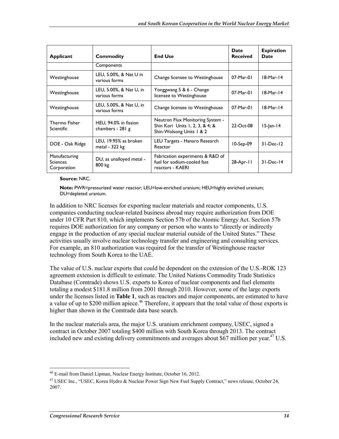| Applicant                                       | Commodity                                 | <b>End Use</b>                                                                                  | Date<br><b>Received</b> | <b>Expiration</b><br>Date |
|-------------------------------------------------|-------------------------------------------|-------------------------------------------------------------------------------------------------|-------------------------|---------------------------|
|                                                 | Components                                |                                                                                                 |                         |                           |
| Westinghouse                                    | LEU, 5.00%, & Nat U in<br>various forms   | Change licensee to Westinghouse                                                                 | 07-Mar-01               | $18-Mar-14$               |
| Westinghouse                                    | LEU, 5.00%, & Nat U, in<br>various forms  | Yonggwang 5 & 6 - Change<br>licensee to Westinghouse                                            | $07-Mar-01$             | $18-Mar-14$               |
| Westinghouse                                    | LEU, 5.00%, & Nat U, in<br>various forms  | Change licensee to Westinghouse                                                                 | 07-Mar-01               | $18-Mar-14$               |
| Thermo Fisher<br><b>Scientific</b>              | HEU, 94.0% in fission<br>chambers - 281 g | Neutron Flux Monitoring System -<br>Shin Kori Units 1, 2, 3, & 4; &<br>Shin-Wolsong Units 1 & 2 | 22-Oct-08               | $15$ -Jan-14              |
| DOE - Oak Ridge                                 | LEU, 19.95% as broken<br>metal - $322$ kg | LEU Targets - Hanaro Research<br>Reactor                                                        | 10-Sep-09               | $31-Dec-12$               |
| Manufacturing<br><b>Sciences</b><br>Corporation | DU, as unalloyed metal -<br>800 kg        | Fabrication experiments & R&D of<br>fuel for sodium-cooled fast<br>reactors - KAERI             | 28-Apr-11               | $31-Dec-14$               |

**Source:** NRC.

**Note:** PWR=pressurized water reactor; LEU=low-enriched uranium; HEU=highly enriched uranium; DU=depleted uranium.

In addition to NRC licenses for exporting nuclear materials and reactor components, U.S. companies conducting nuclear-related business abroad may require authorization from DOE under 10 CFR Part 810, which implements Section 57b of the Atomic Energy Act. Section 57b requires DOE authorization for any company or person who wants to "directly or indirectly engage in the production of any special nuclear material outside of the United States." These activities usually involve nuclear technology transfer and engineering and consulting services. For example, an 810 authorization was required for the transfer of Westinghouse reactor technology from South Korea to the UAE.

The value of U.S. nuclear exports that could be dependent on the extension of the U.S.-ROK 123 agreement extension is difficult to estimate. The United Nations Commodity Trade Statistics Database (Comtrade) shows U.S. exports to Korea of nuclear components and fuel elements totaling a modest \$181.8 million from 2001 through 2010. However, some of the large exports under the licenses listed in **Table 1**, such as reactors and major components, are estimated to have a value of up to \$200 million apiece.<sup>46</sup> Therefore, it appears that the total value of those exports is higher than shown in the Comtrade data base search.

In the nuclear materials area, the major U.S. uranium enrichment company, USEC, signed a contract in October 2007 totaling \$400 million with South Korea through 2013. The contract included new and existing delivery commitments and averages about \$67 million per year.<sup>47</sup> U.S.

1

<sup>46</sup> E-mail from Daniel Lipman, Nuclear Energy Institute, October 16, 2012.

<sup>47</sup> USEC Inc., "USEC, Korea Hydro & Nuclear Power Sign New Fuel Supply Contract," news release, October 24, 2007.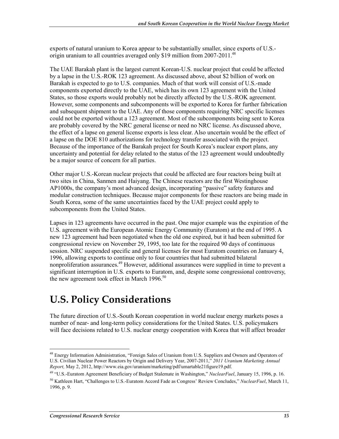exports of natural uranium to Korea appear to be substantially smaller, since exports of U.S. origin uranium to all countries averaged only \$19 million from 2007-2011.<sup>48</sup>

The UAE Barakah plant is the largest current Korean-U.S. nuclear project that could be affected by a lapse in the U.S.-ROK 123 agreement. As discussed above, about \$2 billion of work on Barakah is expected to go to U.S. companies. Much of that work will consist of U.S.-made components exported directly to the UAE, which has its own 123 agreement with the United States, so those exports would probably not be directly affected by the U.S.-ROK agreement. However, some components and subcomponents will be exported to Korea for further fabrication and subsequent shipment to the UAE. Any of those components requiring NRC specific licenses could not be exported without a 123 agreement. Most of the subcomponents being sent to Korea are probably covered by the NRC general license or need no NRC license. As discussed above, the effect of a lapse on general license exports is less clear. Also uncertain would be the effect of a lapse on the DOE 810 authorizations for technology transfer associated with the project. Because of the importance of the Barakah project for South Korea's nuclear export plans, any uncertainty and potential for delay related to the status of the 123 agreement would undoubtedly be a major source of concern for all parties.

Other major U.S.-Korean nuclear projects that could be affected are four reactors being built at two sites in China, Sanmen and Haiyang. The Chinese reactors are the first Westinghouse AP1000s, the company's most advanced design, incorporating "passive" safety features and modular construction techniques. Because major components for these reactors are being made in South Korea, some of the same uncertainties faced by the UAE project could apply to subcomponents from the United States.

Lapses in 123 agreements have occurred in the past. One major example was the expiration of the U.S. agreement with the European Atomic Energy Community (Euratom) at the end of 1995. A new 123 agreement had been negotiated when the old one expired, but it had been submitted for congressional review on November 29, 1995, too late for the required 90 days of continuous session. NRC suspended specific and general licenses for most Euratom countries on January 4, 1996, allowing exports to continue only to four countries that had submitted bilateral nonproliferation assurances.<sup>49</sup> However, additional assurances were supplied in time to prevent a significant interruption in U.S. exports to Euratom, and, despite some congressional controversy, the new agreement took effect in March 1996. $50$ 

## **U.S. Policy Considerations**

The future direction of U.S.-South Korean cooperation in world nuclear energy markets poses a number of near- and long-term policy considerations for the United States. U.S. policymakers will face decisions related to U.S. nuclear energy cooperation with Korea that will affect broader

<sup>1</sup> <sup>48</sup> Energy Information Administration, "Foreign Sales of Uranium from U.S. Suppliers and Owners and Operators of U.S. Civilian Nuclear Power Reactors by Origin and Delivery Year, 2007-2011," *2011 Uranium Marketing Annual Report,* May 2, 2012, http://www.eia.gov/uranium/marketing/pdf/umartable21figure19.pdf.

<sup>49 &</sup>quot;U.S.-Euratom Agreement Beneficiary of Budget Stalemate in Washington," *NuclearFuel*, January 15, 1996, p. 16. 50 Kathleen Hart, "Challenges to U.S.-Euratom Accord Fade as Congress' Review Concludes," *NuclearFuel*, March 11, 1996, p. 9.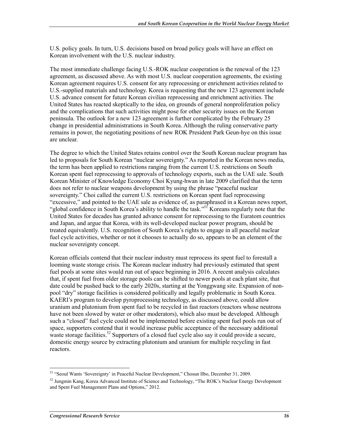U.S. policy goals. In turn, U.S. decisions based on broad policy goals will have an effect on Korean involvement with the U.S. nuclear industry.

The most immediate challenge facing U.S.-ROK nuclear cooperation is the renewal of the 123 agreement, as discussed above. As with most U.S. nuclear cooperation agreements, the existing Korean agreement requires U.S. consent for any reprocessing or enrichment activities related to U.S.-supplied materials and technology. Korea is requesting that the new 123 agreement include U.S. advance consent for future Korean civilian reprocessing and enrichment activities. The United States has reacted skeptically to the idea, on grounds of general nonproliferation policy and the complications that such activities might pose for other security issues on the Korean peninsula. The outlook for a new 123 agreement is further complicated by the February 25 change in presidential administrations in South Korea. Although the ruling conservative party remains in power, the negotiating positions of new ROK President Park Geun-hye on this issue are unclear.

The degree to which the United States retains control over the South Korean nuclear program has led to proposals for South Korean "nuclear sovereignty." As reported in the Korean news media, the term has been applied to restrictions ranging from the current U.S. restrictions on South Korean spent fuel reprocessing to approvals of technology exports, such as the UAE sale. South Korean Minister of Knowledge Economy Choi Kyung-hwan in late 2009 clarified that the term does not refer to nuclear weapons development by using the phrase "peaceful nuclear sovereignty." Choi called the current U.S. restrictions on Korean spent fuel reprocessing "excessive," and pointed to the UAE sale as evidence of, as paraphrased in a Korean news report, "global confidence in South Korea's ability to handle the task."<sup>51</sup> Koreans regularly note that the United States for decades has granted advance consent for reprocessing to the Euratom countries and Japan, and argue that Korea, with its well-developed nuclear power program, should be treated equivalently. U.S. recognition of South Korea's rights to engage in all peaceful nuclear fuel cycle activities, whether or not it chooses to actually do so, appears to be an element of the nuclear sovereignty concept.

Korean officials contend that their nuclear industry must reprocess its spent fuel to forestall a looming waste storage crisis. The Korean nuclear industry had previously estimated that spent fuel pools at some sites would run out of space beginning in 2016. A recent analysis calculates that, if spent fuel from older storage pools can be shifted to newer pools at each plant site, that date could be pushed back to the early 2020s, starting at the Yonggwang site. Expansion of nonpool "dry" storage facilities is considered politically and legally problematic in South Korea. KAERI's program to develop pyroprocessing technology, as discussed above, could allow uranium and plutonium from spent fuel to be recycled in fast reactors (reactors whose neutrons have not been slowed by water or other moderators), which also must be developed. Although such a "closed" fuel cycle could not be implemented before existing spent fuel pools run out of space, supporters contend that it would increase public acceptance of the necessary additional waste storage facilities.<sup>52</sup> Supporters of a closed fuel cycle also say it could provide a secure, domestic energy source by extracting plutonium and uranium for multiple recycling in fast reactors.

1

<sup>&</sup>lt;sup>51</sup> "Seoul Wants 'Sovereignty' in Peaceful Nuclear Development," Chosun Ilbo, December 31, 2009.

<sup>&</sup>lt;sup>52</sup> Jungmin Kang, Korea Advanced Institute of Science and Technology, "The ROK's Nuclear Energy Development and Spent Fuel Management Plans and Options," 2012.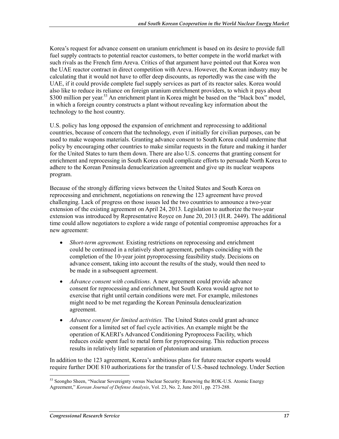Korea's request for advance consent on uranium enrichment is based on its desire to provide full fuel supply contracts to potential reactor customers, to better compete in the world market with such rivals as the French firm Areva. Critics of that argument have pointed out that Korea won the UAE reactor contract in direct competition with Areva. However, the Korean industry may be calculating that it would not have to offer deep discounts, as reportedly was the case with the UAE, if it could provide complete fuel supply services as part of its reactor sales. Korea would also like to reduce its reliance on foreign uranium enrichment providers, to which it pays about \$300 million per year.<sup>53</sup> An enrichment plant in Korea might be based on the "black box" model, in which a foreign country constructs a plant without revealing key information about the technology to the host country.

U.S. policy has long opposed the expansion of enrichment and reprocessing to additional countries, because of concern that the technology, even if initially for civilian purposes, can be used to make weapons materials. Granting advance consent to South Korea could undermine that policy by encouraging other countries to make similar requests in the future and making it harder for the United States to turn them down. There are also U.S. concerns that granting consent for enrichment and reprocessing in South Korea could complicate efforts to persuade North Korea to adhere to the Korean Peninsula denuclearization agreement and give up its nuclear weapons program.

Because of the strongly differing views between the United States and South Korea on reprocessing and enrichment, negotiations on renewing the 123 agreement have proved challenging. Lack of progress on those issues led the two countries to announce a two-year extension of the existing agreement on April 24, 2013. Legislation to authorize the two-year extension was introduced by Representative Royce on June 20, 2013 (H.R. 2449). The additional time could allow negotiators to explore a wide range of potential compromise approaches for a new agreement:

- *Short-term agreement.* Existing restrictions on reprocessing and enrichment could be continued in a relatively short agreement, perhaps coinciding with the completion of the 10-year joint pyroprocessing feasibility study. Decisions on advance consent, taking into account the results of the study, would then need to be made in a subsequent agreement.
- *Advance consent with conditions.* A new agreement could provide advance consent for reprocessing and enrichment, but South Korea would agree not to exercise that right until certain conditions were met. For example, milestones might need to be met regarding the Korean Peninsula denuclearization agreement.
- *Advance consent for limited activities.* The United States could grant advance consent for a limited set of fuel cycle activities. An example might be the operation of KAERI's Advanced Conditioning Pyroprocess Facility, which reduces oxide spent fuel to metal form for pyroprocessing. This reduction process results in relatively little separation of plutonium and uranium.

In addition to the 123 agreement, Korea's ambitious plans for future reactor exports would require further DOE 810 authorizations for the transfer of U.S.-based technology. Under Section

<sup>1</sup> <sup>53</sup> Seongho Sheen, "Nuclear Sovereignty versus Nuclear Security: Renewing the ROK-U.S. Atomic Energy Agreement," *Korean Journal of Defense Analysis*, Vol. 23, No. 2, June 2011, pp. 273-288.